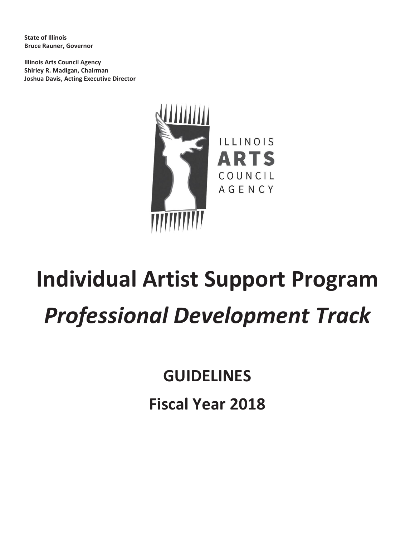**State of Illinois Bruce Rauner, Governor**

**Illinois Arts Council Agency Shirley R. Madigan, Chairman Joshua Davis, Acting Executive Director**



# **Individual Artist Support Program** *Professional Development Track*

**GUIDELINES Fiscal Year 2018**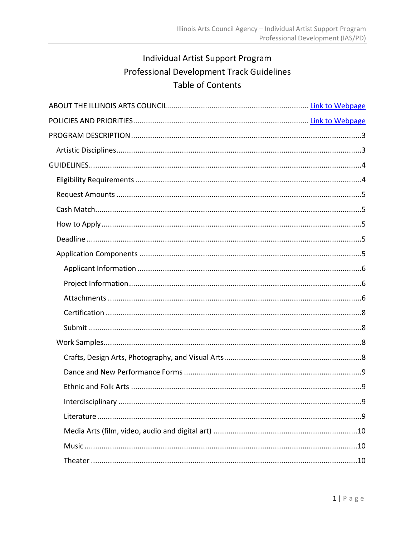# Individual Artist Support Program Professional Development Track Guidelines Table of Contents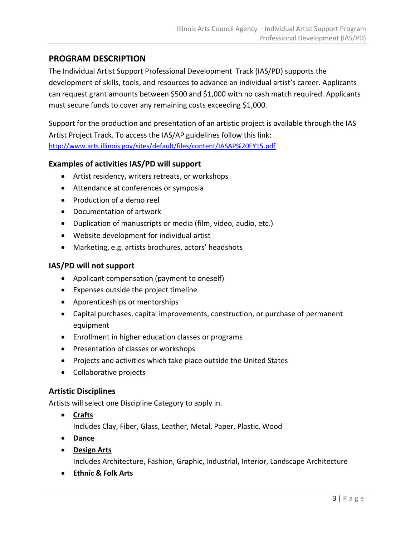# <span id="page-3-0"></span>**PROGRAM DESCRIPTION**

The Individual Artist Support Professional Development Track (IAS/PD) supports the development of skills, tools, and resources to advance an individual artist's career. Applicants can request grant amounts between \$500 and \$1,000 with no cash match required. Applicants must secure funds to cover any remaining costs exceeding \$1,000.

Support for the production and presentation of an artistic project is available through the IAS Artist Project Track. To access the IAS/AP guidelines follow this link: <http://www.arts.illinois.gov/sites/default/files/content/IASAP%20FY15.pdf>

# **Examples of activities IAS/PD will support**

- Artist residency, writers retreats, or workshops
- Attendance at conferences or symposia
- Production of a demo reel
- Documentation of artwork
- Duplication of manuscripts or media (film, video, audio, etc.)
- Website development for individual artist
- Marketing, e.g. artists brochures, actors' headshots

# **IAS/PD will not support**

- Applicant compensation (payment to oneself)
- Expenses outside the project timeline
- Apprenticeships or mentorships
- Capital purchases, capital improvements, construction, or purchase of permanent equipment
- Enrollment in higher education classes or programs
- Presentation of classes or workshops
- Projects and activities which take place outside the United States
- Collaborative projects

# <span id="page-3-1"></span>**Artistic Disciplines**

Artists will select one Discipline Category to apply in.

**Crafts**

Includes Clay, Fiber, Glass, Leather, Metal, Paper, Plastic, Wood

- **Dance**
- **Design Arts**

Includes Architecture, Fashion, Graphic, Industrial, Interior, Landscape Architecture

**Ethnic & Folk Arts**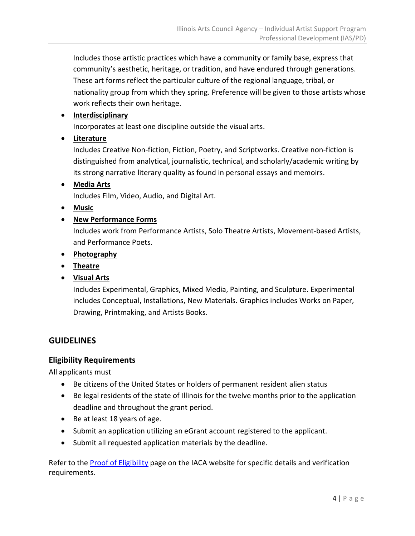Includes those artistic practices which have a community or family base, express that community's aesthetic, heritage, or tradition, and have endured through generations. These art forms reflect the particular culture of the regional language, tribal, or nationality group from which they spring. Preference will be given to those artists whose work reflects their own heritage.

# **Interdisciplinary**

Incorporates at least one discipline outside the visual arts.

**Literature**

Includes Creative Non-fiction, Fiction, Poetry, and Scriptworks. Creative non-fiction is distinguished from analytical, journalistic, technical, and scholarly/academic writing by its strong narrative literary quality as found in personal essays and memoirs.

**Media Arts**

Includes Film, Video, Audio, and Digital Art.

- **Music**
- **New Performance Forms**

Includes work from Performance Artists, Solo Theatre Artists, Movement-based Artists, and Performance Poets.

- **Photography**
- **Theatre**
- **Visual Arts**

Includes Experimental, Graphics, Mixed Media, Painting, and Sculpture. Experimental includes Conceptual, Installations, New Materials. Graphics includes Works on Paper, Drawing, Printmaking, and Artists Books.

# <span id="page-4-0"></span>**GUIDELINES**

# <span id="page-4-1"></span>**Eligibility Requirements**

All applicants must

- Be citizens of the United States or holders of permanent resident alien status
- Be legal residents of the state of Illinois for the twelve months prior to the application deadline and throughout the grant period.
- Be at least 18 years of age.
- Submit an application utilizing an eGrant account registered to the applicant.
- Submit all requested application materials by the deadline.

Refer to the **Proof of Eligibility** page on the IACA website for specific details and verification requirements.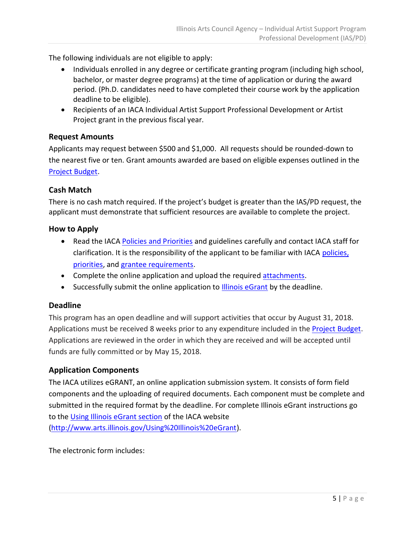The following individuals are not eligible to apply:

- Individuals enrolled in any degree or certificate granting program (including high school, bachelor, or master degree programs) at the time of application or during the award period. (Ph.D. candidates need to have completed their course work by the application deadline to be eligible).
- Recipients of an IACA Individual Artist Support Professional Development or Artist Project grant in the previous fiscal year.

# <span id="page-5-0"></span>**Request Amounts**

Applicants may request between \$500 and \$1,000. All requests should be rounded-down to the nearest five or ten. Grant amounts awarded are based on eligible expenses outlined in the [Project Budget.](#page-7-0)

# <span id="page-5-1"></span>**Cash Match**

There is no cash match required. If the project's budget is greater than the IAS/PD request, the applicant must demonstrate that sufficient resources are available to complete the project.

# <span id="page-5-2"></span>**How to Apply**

- Read the IACA [Policies and Priorities](http://www.arts.illinois.gov/grants-programs/funding-programs/policies-priorities) and guidelines carefully and contact IACA staff for clarification. It is the responsibility of the applicant to be familiar with IACA [policies,](http://www.arts.illinois.gov/grants-programs/funding-programs/policies-priorities)  [priorities,](http://www.arts.illinois.gov/grants-programs/funding-programs/policies-priorities) and [grantee requirements.](#page-11-3)
- Complete the online application and upload the required [attachments.](#page-6-2)
- Successfully submit the online application to [Illinois eGrant](http://illinoisarts.egrant.net/login.aspx?PIID=147&OID=35) by the deadline.

# <span id="page-5-3"></span>**Deadline**

This program has an open deadline and will support activities that occur by August 31, 2018. Applications must be received 8 weeks prior to any expenditure included in the [Project Budget.](#page-7-0) Applications are reviewed in the order in which they are received and will be accepted until funds are fully committed or by May 15, 2018.

# <span id="page-5-4"></span>**Application Components**

The IACA utilizes eGRANT, an online application submission system. It consists of form field components and the uploading of required documents. Each component must be complete and submitted in the required format by the deadline. For complete Illinois eGrant instructions go to the [Using Illinois eGrant section](http://www.arts.illinois.gov/Using%20Illinois%20eGrant) of the IACA website [\(http://www.arts.illinois.gov/Using%20Illinois%20eGrant\)](http://www.arts.illinois.gov/Using%20Illinois%20eGrant).

The electronic form includes: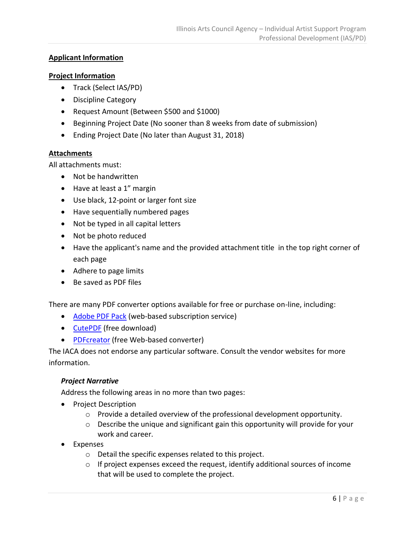# <span id="page-6-0"></span>**Applicant Information**

#### <span id="page-6-1"></span>**Project Information**

- Track (Select IAS/PD)
- Discipline Category
- Request Amount (Between \$500 and \$1000)
- Beginning Project Date (No sooner than 8 weeks from date of submission)
- Ending Project Date (No later than August 31, 2018)

#### <span id="page-6-2"></span>**Attachments**

All attachments must:

- Not be handwritten
- Have at least a 1" margin
- Use black, 12-point or larger font size
- Have sequentially numbered pages
- Not be typed in all capital letters
- Not be photo reduced
- Have the applicant's name and the provided attachment title in the top right corner of each page
- Adhere to page limits
- Be saved as PDF files

There are many PDF converter options available for free or purchase on-line, including:

- [Adobe PDF Pack](https://www.acrobat.com/en_us/products/pdf-pack.html) (web-based subscription service)
- [CutePDF](http://www.cutepdf.com/Products/CutePDF/writer.asp) (free download)
- [PDFcreator](http://www.pdfforge.org/pdfcreator) (free Web-based converter)

The IACA does not endorse any particular software. Consult the vendor websites for more information.

# *Project Narrative*

Address the following areas in no more than two pages:

- Project Description
	- $\circ$  Provide a detailed overview of the professional development opportunity.
	- o Describe the unique and significant gain this opportunity will provide for your work and career.
- Expenses
	- o Detail the specific expenses related to this project.
	- o If project expenses exceed the request, identify additional sources of income that will be used to complete the project.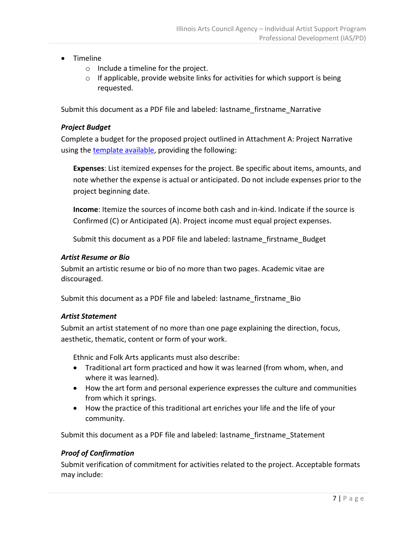- Timeline
	- o Include a timeline for the project.
	- o If applicable, provide website links for activities for which support is being requested.

Submit this document as a PDF file and labeled: lastname\_firstname\_Narrative

#### <span id="page-7-0"></span>*Project Budget*

Complete a budget for the proposed project outlined in Attachment A: Project Narrative using the [template](http://www.arts.illinois.gov/iaspd-budget-template) available, providing the following:

**Expenses**: List itemized expenses for the project. Be specific about items, amounts, and note whether the expense is actual or anticipated. Do not include expenses prior to the project beginning date.

**Income**: Itemize the sources of income both cash and in-kind. Indicate if the source is Confirmed (C) or Anticipated (A). Project income must equal project expenses.

Submit this document as a PDF file and labeled: lastname\_firstname\_Budget

#### *Artist Resume or Bio*

Submit an artistic resume or bio of no more than two pages. Academic vitae are discouraged.

Submit this document as a PDF file and labeled: lastname firstname Bio

#### *Artist Statement*

Submit an artist statement of no more than one page explaining the direction, focus, aesthetic, thematic, content or form of your work.

Ethnic and Folk Arts applicants must also describe:

- Traditional art form practiced and how it was learned (from whom, when, and where it was learned).
- How the art form and personal experience expresses the culture and communities from which it springs.
- How the practice of this traditional art enriches your life and the life of your community.

Submit this document as a PDF file and labeled: lastname firstname Statement

# *Proof of Confirmation*

Submit verification of commitment for activities related to the project. Acceptable formats may include: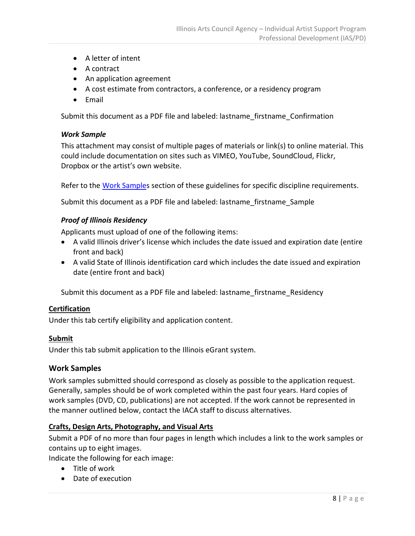- A letter of intent
- A contract
- An application agreement
- A cost estimate from contractors, a conference, or a residency program
- Email

Submit this document as a PDF file and labeled: lastname\_firstname\_Confirmation

#### *Work Sample*

This attachment may consist of multiple pages of materials or link(s) to online material. This could include documentation on sites such as VIMEO, YouTube, SoundCloud, Flickr, Dropbox or the artist's own website.

Refer to the [Work Samples](#page-8-2) section of these guidelines for specific discipline requirements.

Submit this document as a PDF file and labeled: lastname firstname Sample

#### *Proof of Illinois Residency*

Applicants must upload of one of the following items:

- A valid Illinois driver's license which includes the date issued and expiration date (entire front and back)
- A valid State of Illinois identification card which includes the date issued and expiration date (entire front and back)

Submit this document as a PDF file and labeled: lastname firstname Residency

#### <span id="page-8-0"></span>**Certification**

Under this tab certify eligibility and application content.

#### <span id="page-8-1"></span>**Submit**

Under this tab submit application to the Illinois eGrant system.

#### <span id="page-8-2"></span>**Work Samples**

Work samples submitted should correspond as closely as possible to the application request. Generally, samples should be of work completed within the past four years. Hard copies of work samples (DVD, CD, publications) are not accepted. If the work cannot be represented in the manner outlined below, contact the IACA staff to discuss alternatives.

#### <span id="page-8-3"></span>**Crafts, Design Arts, Photography, and Visual Arts**

Submit a PDF of no more than four pages in length which includes a link to the work samples or contains up to eight images.

Indicate the following for each image:

- Title of work
- Date of execution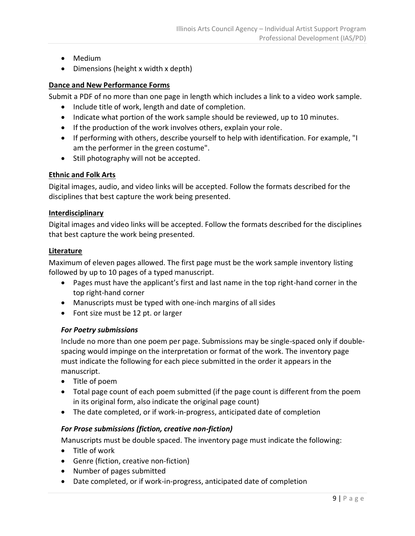- Medium
- Dimensions (height x width x depth)

### <span id="page-9-0"></span>**Dance and New Performance Forms**

Submit a PDF of no more than one page in length which includes a link to a video work sample.

- Include title of work, length and date of completion.
- Indicate what portion of the work sample should be reviewed, up to 10 minutes.
- If the production of the work involves others, explain your role.
- If performing with others, describe yourself to help with identification. For example, "I am the performer in the green costume".
- Still photography will not be accepted.

#### <span id="page-9-1"></span>**Ethnic and Folk Arts**

Digital images, audio, and video links will be accepted. Follow the formats described for the disciplines that best capture the work being presented.

#### <span id="page-9-2"></span>**Interdisciplinary**

Digital images and video links will be accepted. Follow the formats described for the disciplines that best capture the work being presented.

#### <span id="page-9-3"></span>**Literature**

Maximum of eleven pages allowed. The first page must be the work sample inventory listing followed by up to 10 pages of a typed manuscript.

- Pages must have the applicant's first and last name in the top right-hand corner in the top right-hand corner
- Manuscripts must be typed with one-inch margins of all sides
- Font size must be 12 pt. or larger

# *For Poetry submissions*

Include no more than one poem per page. Submissions may be single-spaced only if doublespacing would impinge on the interpretation or format of the work. The inventory page must indicate the following for each piece submitted in the order it appears in the manuscript.

- Title of poem
- Total page count of each poem submitted (if the page count is different from the poem in its original form, also indicate the original page count)
- The date completed, or if work-in-progress, anticipated date of completion

# *For Prose submissions (fiction, creative non-fiction)*

Manuscripts must be double spaced. The inventory page must indicate the following:

- Title of work
- Genre (fiction, creative non-fiction)
- Number of pages submitted
- Date completed, or if work-in-progress, anticipated date of completion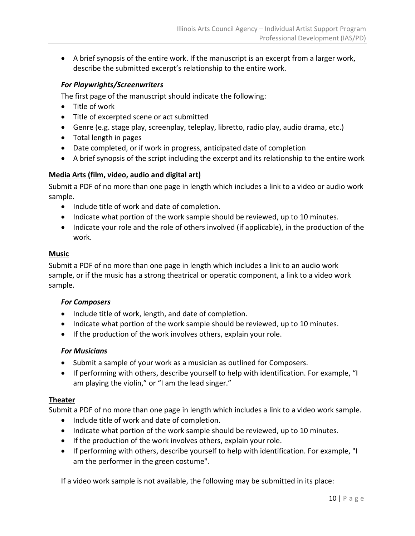A brief synopsis of the entire work. If the manuscript is an excerpt from a larger work, describe the submitted excerpt's relationship to the entire work.

#### *For Playwrights/Screenwriters*

The first page of the manuscript should indicate the following:

- Title of work
- Title of excerpted scene or act submitted
- Genre (e.g. stage play, screenplay, teleplay, libretto, radio play, audio drama, etc.)
- Total length in pages
- Date completed, or if work in progress, anticipated date of completion
- A brief synopsis of the script including the excerpt and its relationship to the entire work

#### <span id="page-10-0"></span>**Media Arts (film, video, audio and digital art)**

Submit a PDF of no more than one page in length which includes a link to a video or audio work sample.

- Include title of work and date of completion.
- Indicate what portion of the work sample should be reviewed, up to 10 minutes.
- Indicate your role and the role of others involved (if applicable), in the production of the work.

#### <span id="page-10-1"></span>**Music**

Submit a PDF of no more than one page in length which includes a link to an audio work sample, or if the music has a strong theatrical or operatic component, a link to a video work sample.

#### *For Composers*

- Include title of work, length, and date of completion.
- Indicate what portion of the work sample should be reviewed, up to 10 minutes.
- If the production of the work involves others, explain your role.

#### *For Musicians*

- Submit a sample of your work as a musician as outlined for Composers.
- If performing with others, describe yourself to help with identification. For example, "I am playing the violin," or "I am the lead singer."

#### <span id="page-10-2"></span>**Theater**

Submit a PDF of no more than one page in length which includes a link to a video work sample.

- Include title of work and date of completion.
- Indicate what portion of the work sample should be reviewed, up to 10 minutes.
- If the production of the work involves others, explain your role.
- If performing with others, describe yourself to help with identification. For example, "I am the performer in the green costume".

If a video work sample is not available, the following may be submitted in its place: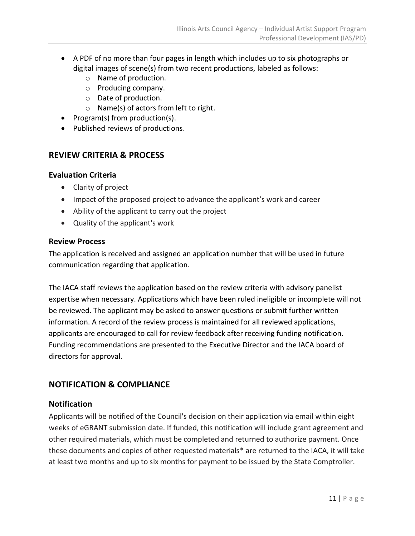- A PDF of no more than four pages in length which includes up to six photographs or digital images of scene(s) from two recent productions, labeled as follows:
	- o Name of production.
	- o Producing company.
	- o Date of production.
	- o Name(s) of actors from left to right.
- Program(s) from production(s).
- <span id="page-11-0"></span>• Published reviews of productions.

# **REVIEW CRITERIA & PROCESS**

# <span id="page-11-1"></span>**Evaluation Criteria**

- Clarity of project
- Impact of the proposed project to advance the applicant's work and career
- Ability of the applicant to carry out the project
- Quality of the applicant's work

#### <span id="page-11-2"></span>**Review Process**

The application is received and assigned an application number that will be used in future communication regarding that application.

The IACA staff reviews the application based on the review criteria with advisory panelist expertise when necessary. Applications which have been ruled ineligible or incomplete will not be reviewed. The applicant may be asked to answer questions or submit further written information. A record of the review process is maintained for all reviewed applications, applicants are encouraged to call for review feedback after receiving funding notification. Funding recommendations are presented to the Executive Director and the IACA board of directors for approval.

# <span id="page-11-3"></span>**NOTIFICATION & COMPLIANCE**

# <span id="page-11-4"></span>**Notification**

Applicants will be notified of the Council's decision on their application via email within eight weeks of eGRANT submission date. If funded, this notification will include grant agreement and other required materials, which must be completed and returned to authorize payment. Once these documents and copies of other requested materials\* are returned to the IACA, it will take at least two months and up to six months for payment to be issued by the State Comptroller.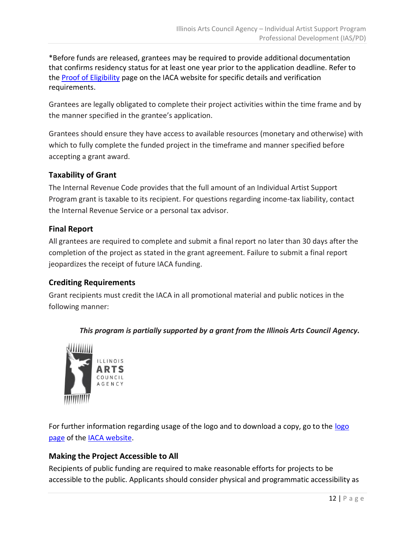\*Before funds are released, grantees may be required to provide additional documentation that confirms residency status for at least one year prior to the application deadline. Refer to the [Proof of Eligibility](http://www.arts.illinois.gov/Proof%20of%20Eligibility) page on the IACA website for specific details and verification requirements.

Grantees are legally obligated to complete their project activities within the time frame and by the manner specified in the grantee's application.

Grantees should ensure they have access to available resources (monetary and otherwise) with which to fully complete the funded project in the timeframe and manner specified before accepting a grant award.

# <span id="page-12-0"></span>**Taxability of Grant**

The Internal Revenue Code provides that the full amount of an Individual Artist Support Program grant is taxable to its recipient. For questions regarding income-tax liability, contact the Internal Revenue Service or a personal tax advisor.

# <span id="page-12-1"></span>**Final Report**

All grantees are required to complete and submit a final report no later than 30 days after the completion of the project as stated in the grant agreement. Failure to submit a final report jeopardizes the receipt of future IACA funding.

# <span id="page-12-2"></span>**Crediting Requirements**

Grant recipients must credit the IACA in all promotional material and public notices in the following manner:

# *This program is partially supported by a grant from the Illinois Arts Council Agency.*



For further information regarding usage of the logo and to download a copy, go to the [logo](http://www.arts.illinois.gov/IACLogo)  [page](http://www.arts.illinois.gov/IACLogo) of the [IACA website.](http://www.arts.illinois.gov/)

# <span id="page-12-3"></span>**Making the Project Accessible to All**

Recipients of public funding are required to make reasonable efforts for projects to be accessible to the public. Applicants should consider physical and programmatic accessibility as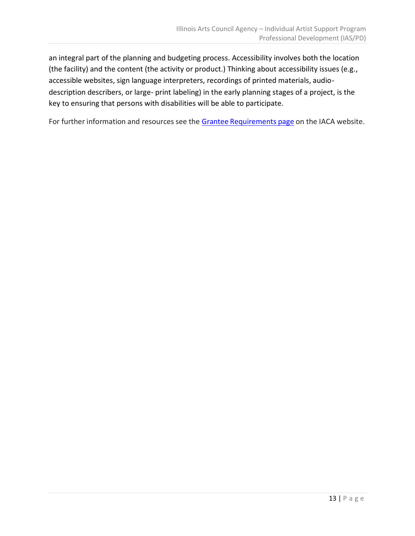an integral part of the planning and budgeting process. Accessibility involves both the location (the facility) and the content (the activity or product.) Thinking about accessibility issues (e.g., accessible websites, sign language interpreters, recordings of printed materials, audiodescription describers, or large- print labeling) in the early planning stages of a project, is the key to ensuring that persons with disabilities will be able to participate.

For further information and resources see the Grantee [Requirements](http://www.arts.illinois.gov/grantee-requirements#ada) page on the IACA website.